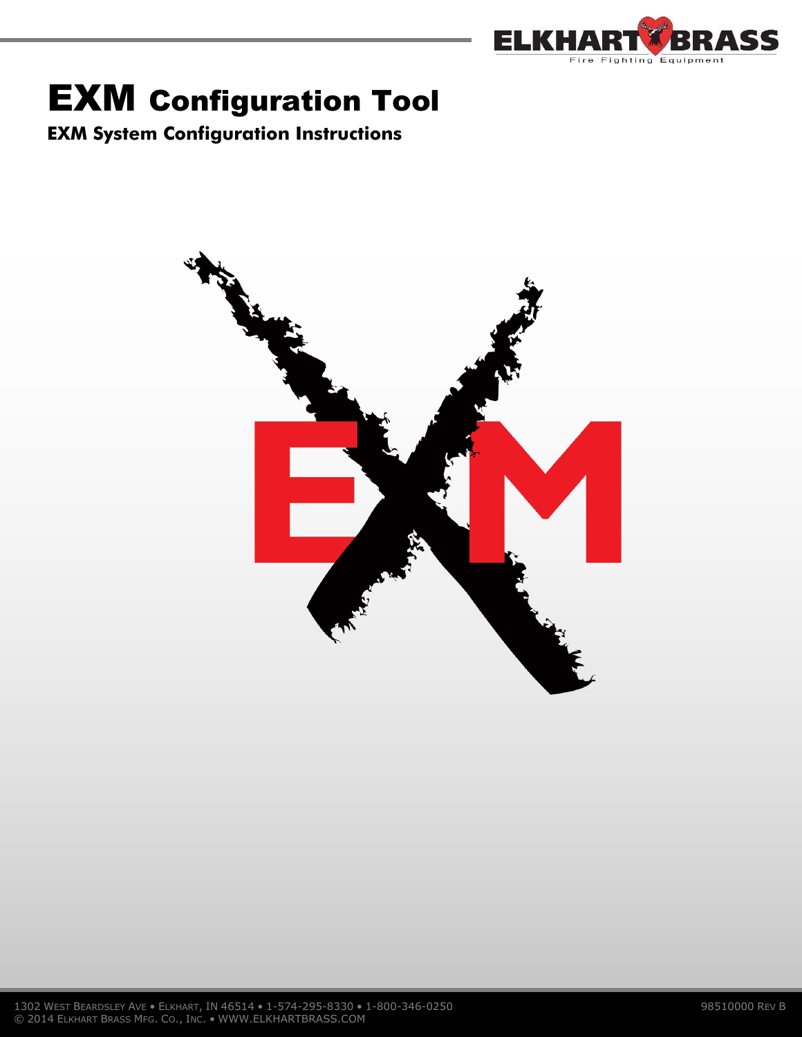

# EXM Configuration Tool

**EXM System Configuration Instructions**

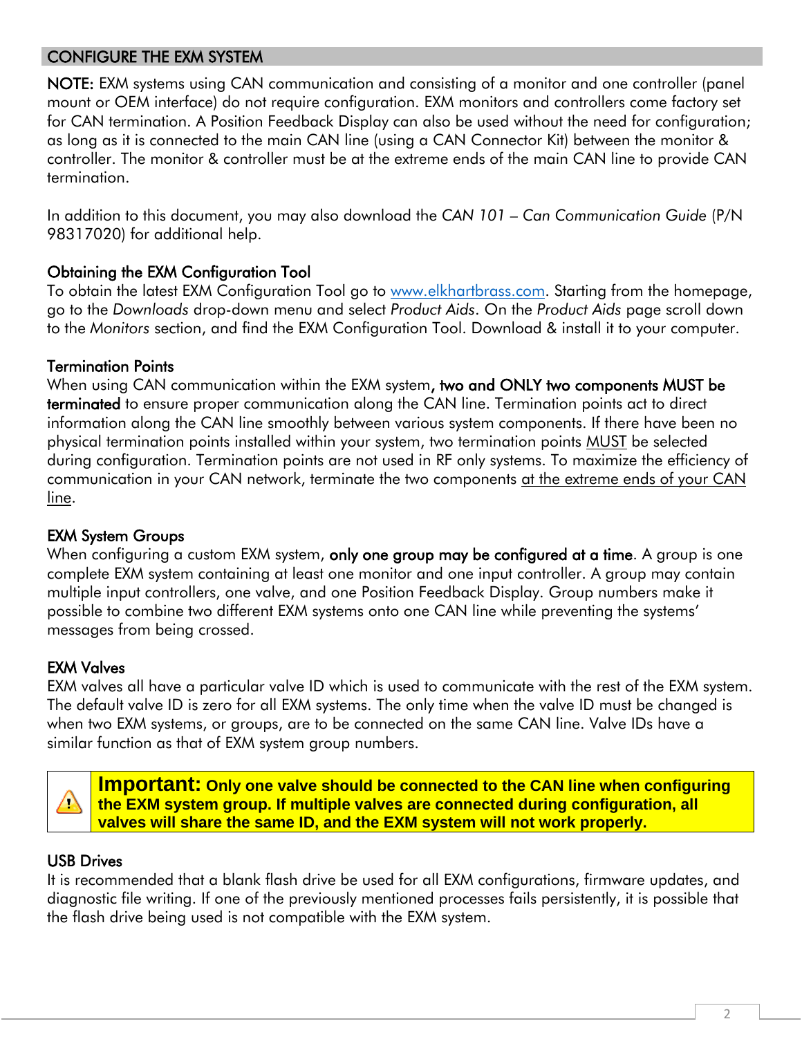## CONFIGURE THE EXM SYSTEM

NOTE: EXM systems using CAN communication and consisting of a monitor and one controller (panel mount or OEM interface) do not require configuration. EXM monitors and controllers come factory set for CAN termination. A Position Feedback Display can also be used without the need for configuration; as long as it is connected to the main CAN line (using a CAN Connector Kit) between the monitor & controller. The monitor & controller must be at the extreme ends of the main CAN line to provide CAN termination.

In addition to this document, you may also download the *CAN 101 – Can Communication Guide* (P/N 98317020) for additional help.

## Obtaining the EXM Configuration Tool

To obtain the latest EXM Configuration Tool go to [www.elkhartbrass.com.](http://www.elkhartbrass.com/) Starting from the homepage, go to the *Downloads* drop-down menu and select *Product Aids*. On the *Product Aids* page scroll down to the *Monitors* section, and find the EXM Configuration Tool. Download & install it to your computer.

## Termination Points

When using CAN communication within the EXM system, two and ONLY two components MUST be terminated to ensure proper communication along the CAN line. Termination points act to direct information along the CAN line smoothly between various system components. If there have been no physical termination points installed within your system, two termination points MUST be selected during configuration. Termination points are not used in RF only systems. To maximize the efficiency of communication in your CAN network, terminate the two components at the extreme ends of your CAN line.

## EXM System Groups

When configuring a custom EXM system, only one group may be configured at a time. A group is one complete EXM system containing at least one monitor and one input controller. A group may contain multiple input controllers, one valve, and one Position Feedback Display. Group numbers make it possible to combine two different EXM systems onto one CAN line while preventing the systems' messages from being crossed.

## EXM Valves

EXM valves all have a particular valve ID which is used to communicate with the rest of the EXM system. The default valve ID is zero for all EXM systems. The only time when the valve ID must be changed is when two EXM systems, or groups, are to be connected on the same CAN line. Valve IDs have a similar function as that of EXM system group numbers.

 $\triangle$ 

**Important: Only one valve should be connected to the CAN line when configuring the EXM system group. If multiple valves are connected during configuration, all valves will share the same ID, and the EXM system will not work properly.**

## USB Drives

It is recommended that a blank flash drive be used for all EXM configurations, firmware updates, and diagnostic file writing. If one of the previously mentioned processes fails persistently, it is possible that the flash drive being used is not compatible with the EXM system.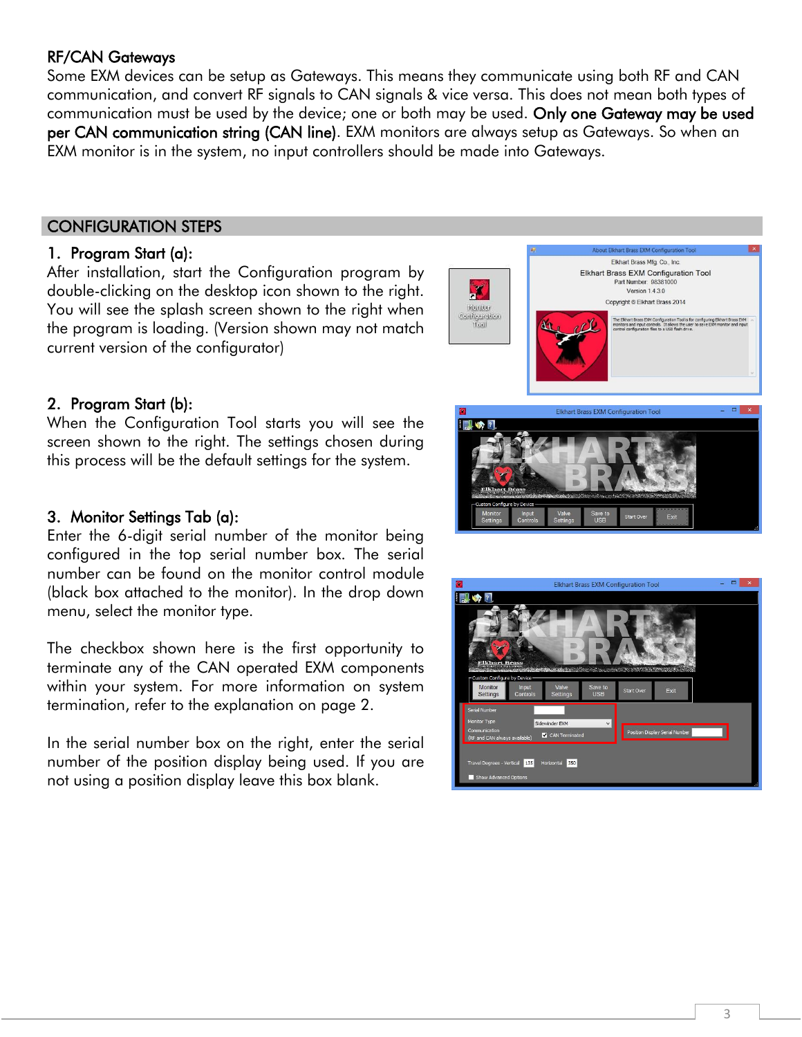## RF/CAN Gateways

Some EXM devices can be setup as Gateways. This means they communicate using both RF and CAN communication, and convert RF signals to CAN signals & vice versa. This does not mean both types of communication must be used by the device; one or both may be used. Only one Gateway may be used per CAN communication string (CAN line). EXM monitors are always setup as Gateways. So when an EXM monitor is in the system, no input controllers should be made into Gateways.

## CONFIGURATION STEPS

#### 1. Program Start (a):

After installation, start the Configuration program by double-clicking on the desktop icon shown to the right. You will see the splash screen shown to the right when the program is loading. (Version shown may not match current version of the configurator)



Elkhart Brass EXM Configuration Too

 $\blacksquare$ 

## 2. Program Start (b):

When the Configuration Tool starts you will see the screen shown to the right. The settings chosen during this process will be the default settings for the system.

#### 3. Monitor Settings Tab (a):

Enter the 6-digit serial number of the monitor being configured in the top serial number box. The serial number can be found on the monitor control module (black box attached to the monitor). In the drop down menu, select the monitor type.

The checkbox shown here is the first opportunity to terminate any of the CAN operated EXM components within your system. For more information on system termination, refer to the explanation on page 2.

In the serial number box on the right, enter the serial number of the position display being used. If you are not using a position display leave this box blank.

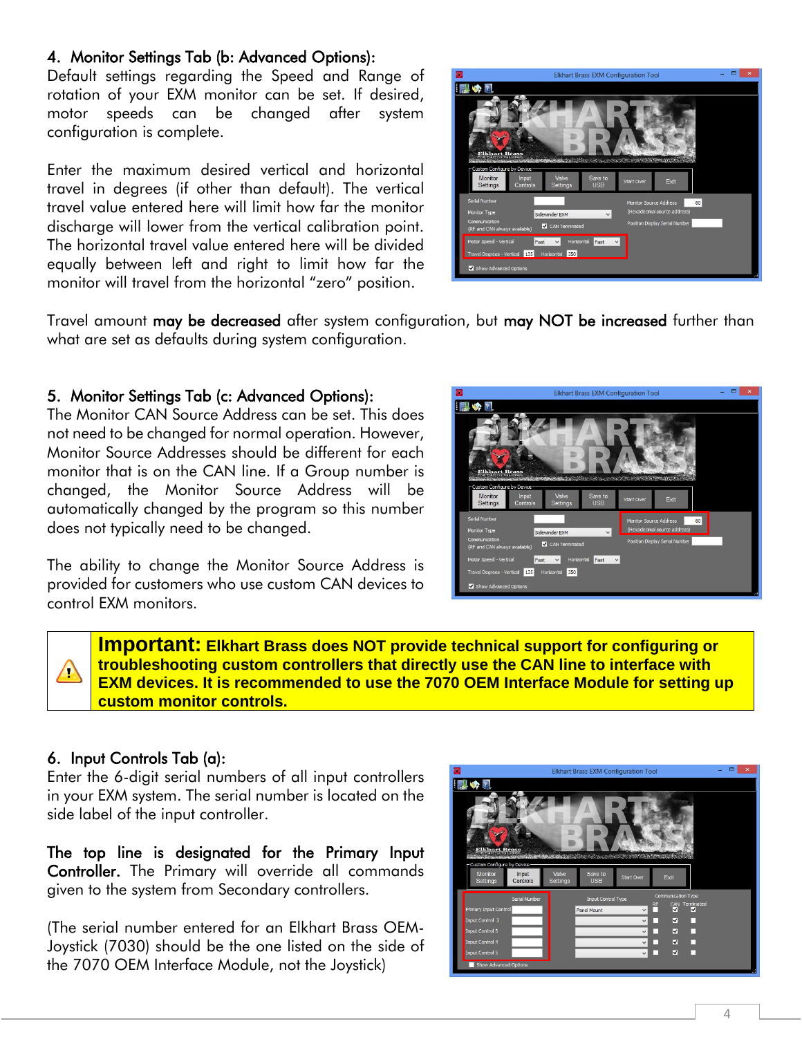#### 4. Monitor Settings Tab (b: Advanced Options):

Default settings regarding the Speed and Range of rotation of your EXM monitor can be set. If desired, motor speeds can be changed after system configuration is complete.

Enter the maximum desired vertical and horizontal travel in degrees (if other than default). The vertical travel value entered here will limit how far the monitor discharge will lower from the vertical calibration point. The horizontal travel value entered here will be divided equally between left and right to limit how far the monitor will travel from the horizontal "zero" position.



Travel amount may be decreased after system configuration, but may NOT be increased further than what are set as defaults during system configuration.

#### 5. Monitor Settings Tab (c: Advanced Options):

The Monitor CAN Source Address can be set. This does not need to be changed for normal operation. However, Monitor Source Addresses should be different for each monitor that is on the CAN line. If a Group number is changed, the Monitor Source Address will be automatically changed by the program so this number does not typically need to be changed.

The ability to change the Monitor Source Address is provided for customers who use custom CAN devices to control EXM monitors.



**Important: Elkhart Brass does NOT provide technical support for configuring or troubleshooting custom controllers that directly use the CAN line to interface with EXM devices. It is recommended to use the 7070 OEM Interface Module for setting up custom monitor controls.**

#### 6. Input Controls Tab (a):

 $\triangle$ 

Enter the 6-digit serial numbers of all input controllers in your EXM system. The serial number is located on the side label of the input controller.

The top line is designated for the Primary Input Controller. The Primary will override all commands given to the system from Secondary controllers.

(The serial number entered for an Elkhart Brass OEM-Joystick (7030) should be the one listed on the side of the 7070 OEM Interface Module, not the Joystick)

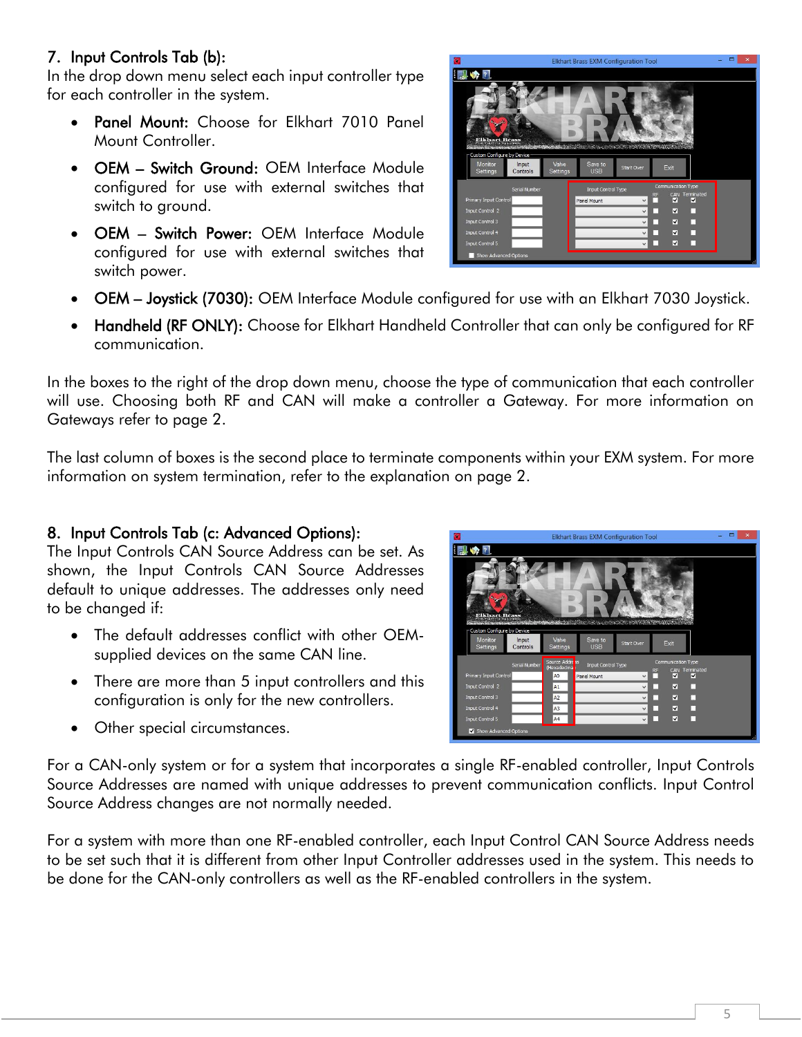# 7. Input Controls Tab (b):

In the drop down menu select each input controller type for each controller in the system.

- Panel Mount: Choose for Elkhart 7010 Panel Mount Controller.
- OEM Switch Ground: OEM Interface Module configured for use with external switches that switch to ground.
- OEM Switch Power: OEM Interface Module configured for use with external switches that switch power.



- OEM Joystick (7030): OEM Interface Module configured for use with an Elkhart 7030 Joystick.
- Handheld (RF ONLY): Choose for Elkhart Handheld Controller that can only be configured for RF communication.

In the boxes to the right of the drop down menu, choose the type of communication that each controller will use. Choosing both RF and CAN will make a controller a Gateway. For more information on Gateways refer to page 2.

The last column of boxes is the second place to terminate components within your EXM system. For more information on system termination, refer to the explanation on page 2.

## 8. Input Controls Tab (c: Advanced Options):

The Input Controls CAN Source Address can be set. As shown, the Input Controls CAN Source Addresses default to unique addresses. The addresses only need to be changed if:

- The default addresses conflict with other OEMsupplied devices on the same CAN line.
- There are more than 5 input controllers and this configuration is only for the new controllers.
- Other special circumstances.



For a CAN-only system or for a system that incorporates a single RF-enabled controller, Input Controls Source Addresses are named with unique addresses to prevent communication conflicts. Input Control Source Address changes are not normally needed.

For a system with more than one RF-enabled controller, each Input Control CAN Source Address needs to be set such that it is different from other Input Controller addresses used in the system. This needs to be done for the CAN-only controllers as well as the RF-enabled controllers in the system.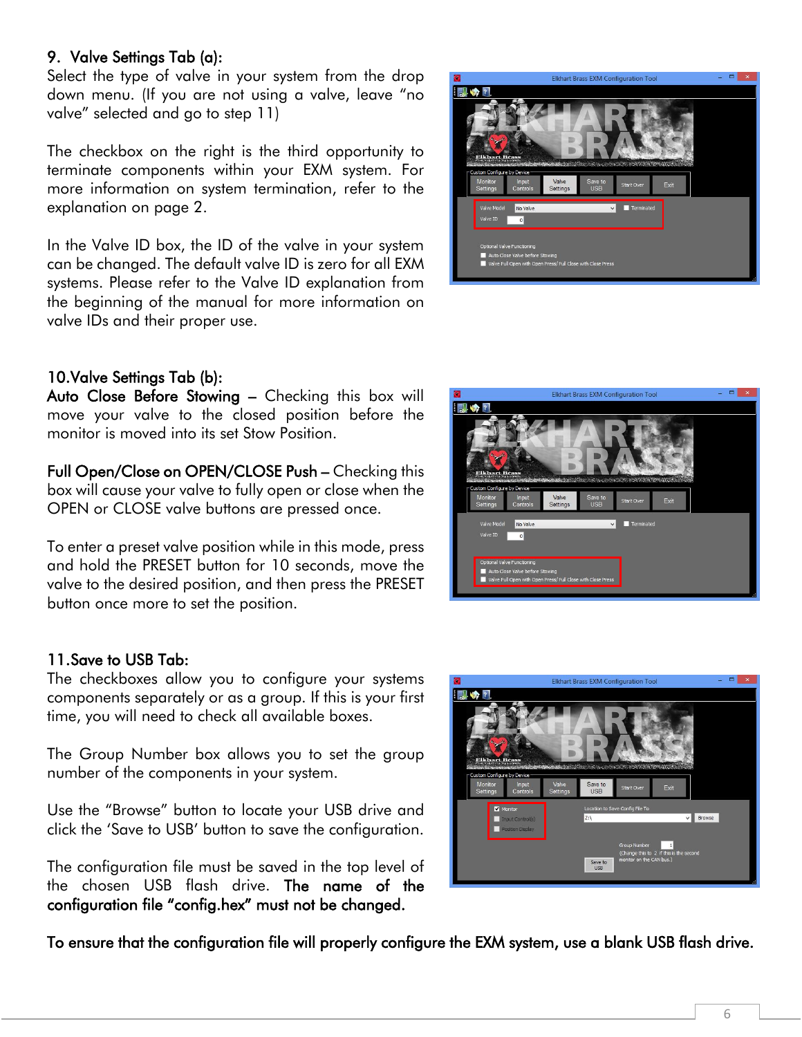## 9. Valve Settings Tab (a):

Select the type of valve in your system from the drop down menu. (If you are not using a valve, leave "no valve" selected and go to step 11)

The checkbox on the right is the third opportunity to terminate components within your EXM system. For more information on system termination, refer to the explanation on page 2.

In the Valve ID box, the ID of the valve in your system can be changed. The default valve ID is zero for all EXM systems. Please refer to the Valve ID explanation from the beginning of the manual for more information on valve IDs and their proper use.

## 10.Valve Settings Tab (b):

Auto Close Before Stowing – Checking this box will move your valve to the closed position before the monitor is moved into its set Stow Position.

Full Open/Close on OPEN/CLOSE Push – Checking this box will cause your valve to fully open or close when the OPEN or CLOSE valve buttons are pressed once.

To enter a preset valve position while in this mode, press and hold the PRESET button for 10 seconds, move the valve to the desired position, and then press the PRESET button once more to set the position.

#### 11.Save to USB Tab:

The checkboxes allow you to configure your systems components separately or as a group. If this is your first time, you will need to check all available boxes.

The Group Number box allows you to set the group number of the components in your system.

Use the "Browse" button to locate your USB drive and click the 'Save to USB' button to save the configuration.

The configuration file must be saved in the top level of the chosen USB flash drive. The name of the configuration file "config.hex" must not be changed.

To ensure that the configuration file will properly configure the EXM system, use a blank USB flash drive.





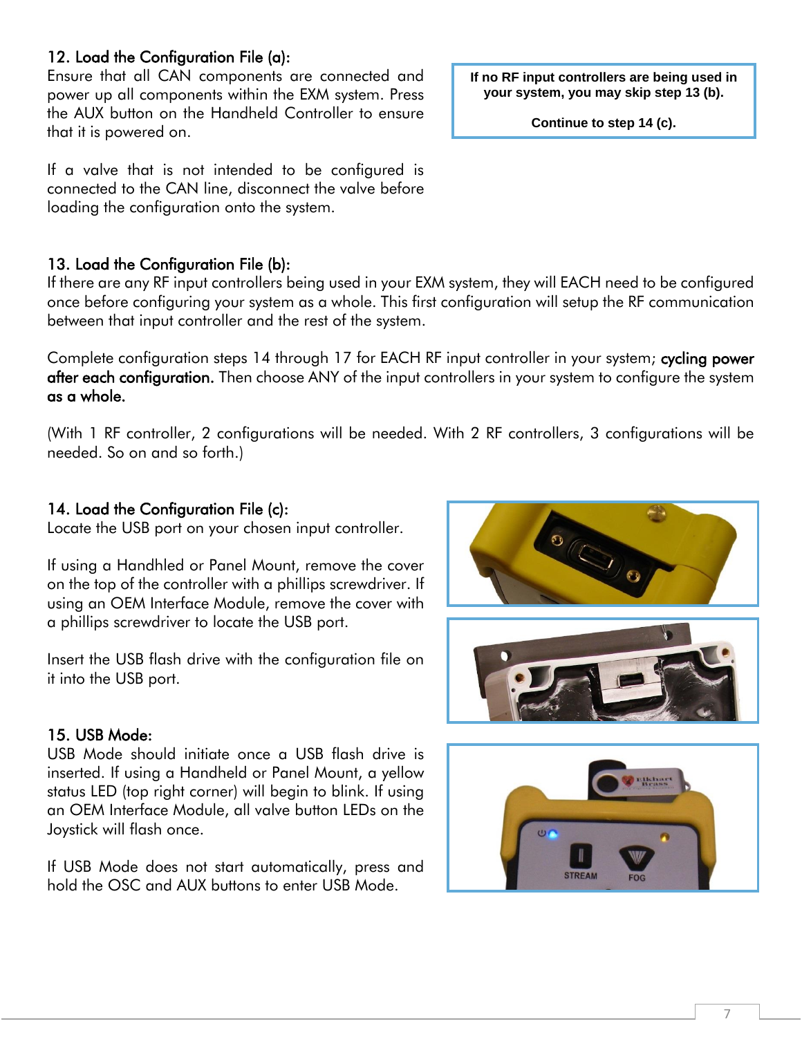## 12. Load the Configuration File (a):

Ensure that all CAN components are connected and power up all components within the EXM system. Press the AUX button on the Handheld Controller to ensure that it is powered on.

If a valve that is not intended to be configured is connected to the CAN line, disconnect the valve before loading the configuration onto the system.

#### 13. Load the Configuration File (b):

If there are any RF input controllers being used in your EXM system, they will EACH need to be configured once before configuring your system as a whole. This first configuration will setup the RF communication between that input controller and the rest of the system.

Complete configuration steps 14 through 17 for EACH RF input controller in your system; cycling power after each configuration. Then choose ANY of the input controllers in your system to configure the system as a whole.

(With 1 RF controller, 2 configurations will be needed. With 2 RF controllers, 3 configurations will be needed. So on and so forth.)

#### 14. Load the Configuration File (c):

Locate the USB port on your chosen input controller.

If using a Handhled or Panel Mount, remove the cover on the top of the controller with a phillips screwdriver. If using an OEM Interface Module, remove the cover with a phillips screwdriver to locate the USB port.

Insert the USB flash drive with the configuration file on it into the USB port.

#### 15. USB Mode:

USB Mode should initiate once a USB flash drive is inserted. If using a Handheld or Panel Mount, a yellow status LED (top right corner) will begin to blink. If using an OEM Interface Module, all valve button LEDs on the Joystick will flash once.

If USB Mode does not start automatically, press and hold the OSC and AUX buttons to enter USB Mode.

**If no RF input controllers are being used in your system, you may skip step 13 (b).**

**Continue to step 14 (c).**





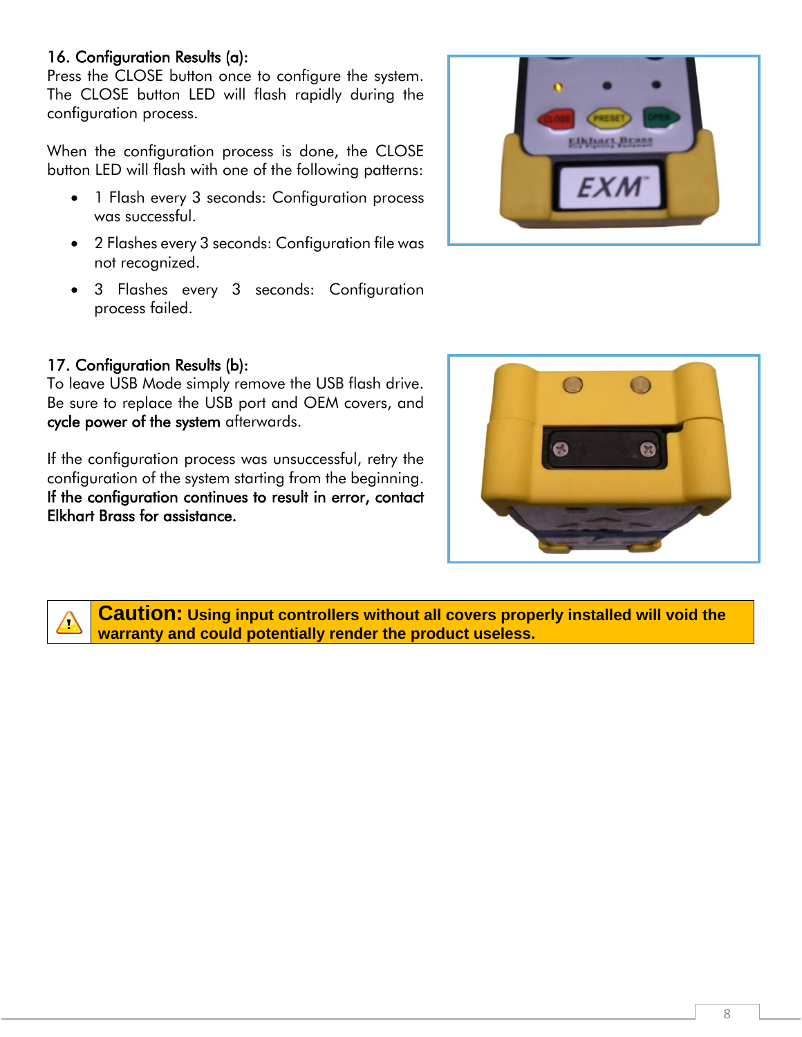## 16. Configuration Results (a):

Press the CLOSE button once to configure the system. The CLOSE button LED will flash rapidly during the configuration process.

When the configuration process is done, the CLOSE button LED will flash with one of the following patterns:

- 1 Flash every 3 seconds: Configuration process was successful.
- 2 Flashes every 3 seconds: Configuration file was not recognized.
- 3 Flashes every 3 seconds: Configuration process failed.



#### 17. Configuration Results (b):

 $\sqrt{2}$ 

To leave USB Mode simply remove the USB flash drive. Be sure to replace the USB port and OEM covers, and cycle power of the system afterwards.

If the configuration process was unsuccessful, retry the configuration of the system starting from the beginning. If the configuration continues to result in error, contact Elkhart Brass for assistance.



**Caution: Using input controllers without all covers properly installed will void the warranty and could potentially render the product useless.**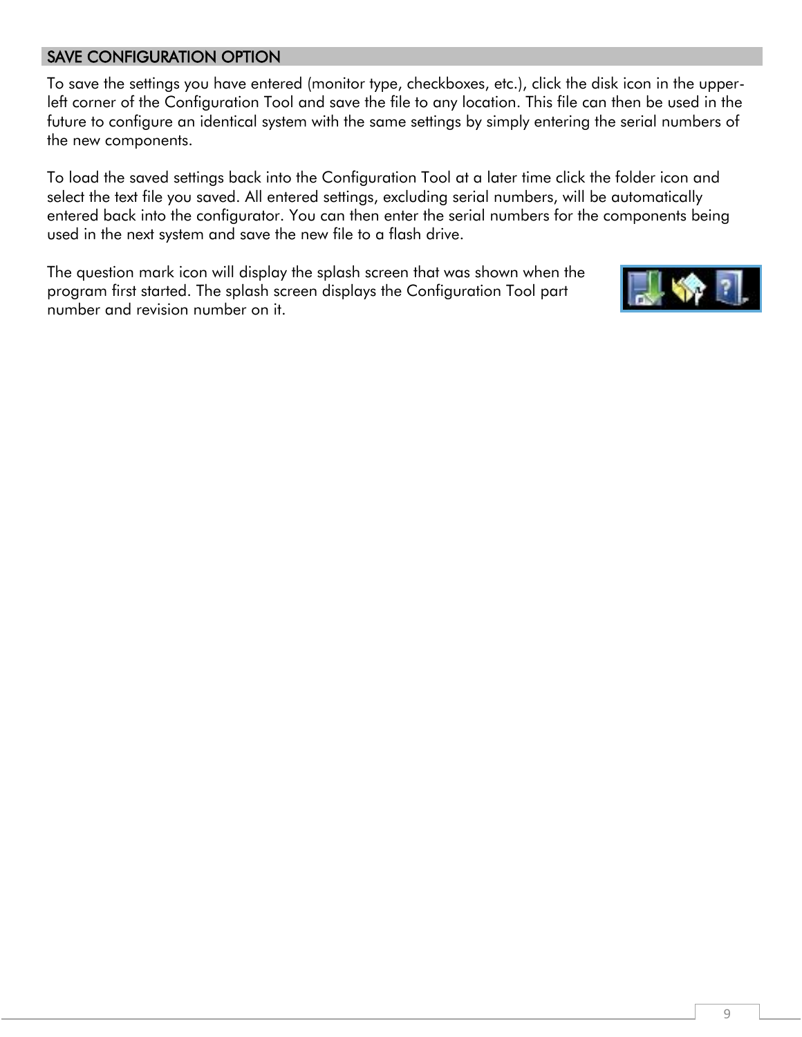## SAVE CONFIGURATION OPTION

To save the settings you have entered (monitor type, checkboxes, etc.), click the disk icon in the upperleft corner of the Configuration Tool and save the file to any location. This file can then be used in the future to configure an identical system with the same settings by simply entering the serial numbers of the new components.

To load the saved settings back into the Configuration Tool at a later time click the folder icon and select the text file you saved. All entered settings, excluding serial numbers, will be automatically entered back into the configurator. You can then enter the serial numbers for the components being used in the next system and save the new file to a flash drive.

The question mark icon will display the splash screen that was shown when the program first started. The splash screen displays the Configuration Tool part number and revision number on it.